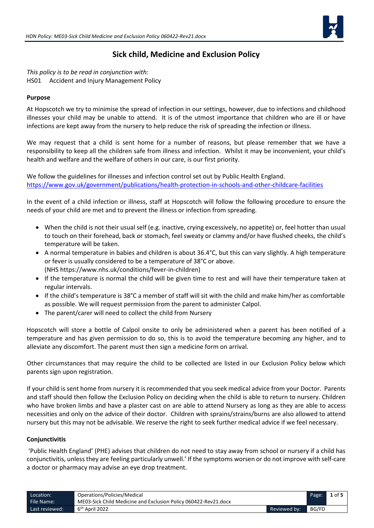

## **Sick child, Medicine and Exclusion Policy**

*This policy is to be read in conjunction with:* HS01 Accident and Injury Management Policy

## **Purpose**

At Hopscotch we try to minimise the spread of infection in our settings, however, due to infections and childhood illnesses your child may be unable to attend. It is of the utmost importance that children who are ill or have infections are kept away from the nursery to help reduce the risk of spreading the infection or illness.

We may request that a child is sent home for a number of reasons, but please remember that we have a responsibility to keep all the children safe from illness and infection. Whilst it may be inconvenient, your child's health and welfare and the welfare of others in our care, is our first priority.

We follow the guidelines for illnesses and infection control set out by Public Health England. <https://www.gov.uk/government/publications/health-protection-in-schools-and-other-childcare-facilities>

In the event of a child infection or illness, staff at Hopscotch will follow the following procedure to ensure the needs of your child are met and to prevent the illness or infection from spreading.

- When the child is not their usual self (e.g. inactive, crying excessively, no appetite) or, feel hotter than usual to touch on their forehead, back or stomach, feel sweaty or clammy and/or have flushed cheeks, the child's temperature will be taken.
- A normal temperature in babies and children is about 36.4°C, but this can vary slightly. A high temperature or fever is usually considered to be a temperature of 38°C or above. (NHS https://www.nhs.uk/conditions/fever-in-children)
- If the temperature is normal the child will be given time to rest and will have their temperature taken at regular intervals.
- If the child's temperature is 38°C a member of staff will sit with the child and make him/her as comfortable as possible. We will request permission from the parent to administer Calpol.
- The parent/carer will need to collect the child from Nursery

Hopscotch will store a bottle of Calpol onsite to only be administered when a parent has been notified of a temperature and has given permission to do so, this is to avoid the temperature becoming any higher, and to alleviate any discomfort. The parent must then sign a medicine form on arrival.

Other circumstances that may require the child to be collected are listed in our Exclusion Policy below which parents sign upon registration.

If your child is sent home from nursery it is recommended that you seek medical advice from your Doctor. Parents and staff should then follow the Exclusion Policy on deciding when the child is able to return to nursery. Children who have broken limbs and have a plaster cast on are able to attend Nursery as long as they are able to access necessities and only on the advice of their doctor. Children with sprains/strains/burns are also allowed to attend nursery but this may not be advisable. We reserve the right to seek further medical advice if we feel necessary.

#### **Conjunctivitis**

'Public Health England' (PHE) advises that children do not need to stay away from school or nursery if a child has conjunctivitis, unless they are feeling particularly unwell.' If the symptoms worsen or do not improve with self-care a doctor or pharmacy may advise an eye drop treatment.

| Location:<br>Operations/Policies/Medical |                                                                 |              | Page: | $1$ of 5 |
|------------------------------------------|-----------------------------------------------------------------|--------------|-------|----------|
| File Name:                               | ME03-Sick Child Medicine and Exclusion Policy 060422-Rev21.docx |              |       |          |
| Last reviewed:                           | 6 <sup>th</sup> April 2022                                      | Reviewed by: | BG/FD |          |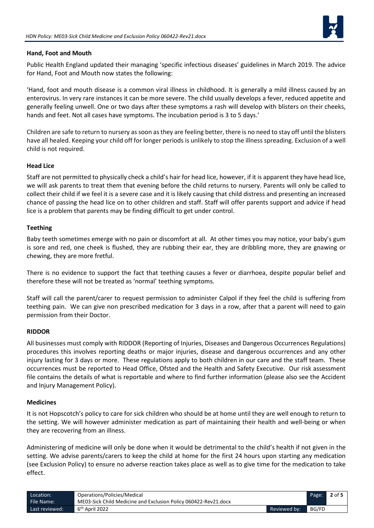

## **Hand, Foot and Mouth**

Public Health England updated their managing 'specific infectious diseases' guidelines in March 2019. The advice for Hand, Foot and Mouth now states the following:

'Hand, foot and mouth disease is a common viral illness in childhood. It is generally a mild illness caused by an enterovirus. In very rare instances it can be more severe. The child usually develops a fever, reduced appetite and generally feeling unwell. One or two days after these symptoms a rash will develop with blisters on their cheeks, hands and feet. Not all cases have symptoms. The incubation period is 3 to 5 days.'

Children are safe to return to nursery as soon as they are feeling better, there is no need to stay off until the blisters have all healed. Keeping your child off for longer periods is unlikely to stop the illness spreading. Exclusion of a well child is not required.

#### **Head Lice**

Staff are not permitted to physically check a child's hair for head lice, however, if it is apparent they have head lice, we will ask parents to treat them that evening before the child returns to nursery. Parents will only be called to collect their child if we feel it is a severe case and it is likely causing that child distress and presenting an increased chance of passing the head lice on to other children and staff. Staff will offer parents support and advice if head lice is a problem that parents may be finding difficult to get under control.

## **Teething**

Baby teeth sometimes emerge with no pain or discomfort at all. At other times you may notice, your baby's gum is sore and red, one cheek is flushed, they are rubbing their ear, they are dribbling more, they are gnawing or chewing, they are more fretful.

There is no evidence to support the fact that teething causes a fever or diarrhoea, despite popular belief and therefore these will not be treated as 'normal' teething symptoms.

Staff will call the parent/carer to request permission to administer Calpol if they feel the child is suffering from teething pain. We can give non prescribed medication for 3 days in a row, after that a parent will need to gain permission from their Doctor.

#### **RIDDOR**

All businesses must comply with RIDDOR (Reporting of Injuries, Diseases and Dangerous Occurrences Regulations) procedures this involves reporting deaths or major injuries, disease and dangerous occurrences and any other injury lasting for 3 days or more. These regulations apply to both children in our care and the staff team. These occurrences must be reported to Head Office, Ofsted and the Health and Safety Executive. Our risk assessment file contains the details of what is reportable and where to find further information (please also see the Accident and Injury Management Policy).

#### **Medicines**

It is not Hopscotch's policy to care for sick children who should be at home until they are well enough to return to the setting. We will however administer medication as part of maintaining their health and well-being or when they are recovering from an illness.

Administering of medicine will only be done when it would be detrimental to the child's health if not given in the setting. We advise parents/carers to keep the child at home for the first 24 hours upon starting any medication (see Exclusion Policy) to ensure no adverse reaction takes place as well as to give time for the medication to take effect.

| Operations/Policies/Medical<br>Location: |                                                                 | Page:        | $2$ of 5 |  |
|------------------------------------------|-----------------------------------------------------------------|--------------|----------|--|
| File Name:                               | ME03-Sick Child Medicine and Exclusion Policy 060422-Rev21.docx |              |          |  |
| Last reviewed:                           | 6 <sup>th</sup> April 2022                                      | Reviewed by: | BG/FD    |  |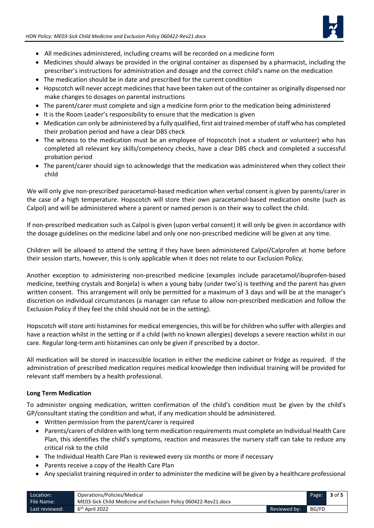

- All medicines administered, including creams will be recorded on a medicine form
- Medicines should always be provided in the original container as dispensed by a pharmacist, including the prescriber's instructions for administration and dosage and the correct child's name on the medication
- The medication should be in date and prescribed for the current condition
- Hopscotch will never accept medicines that have been taken out of the container as originally dispensed nor make changes to dosages on parental instructions
- The parent/carer must complete and sign a medicine form prior to the medication being administered
- It is the Room Leader's responsibility to ensure that the medication is given
- Medication can only be administered by a fully qualified, first aid trained member of staff who has completed their probation period and have a clear DBS check
- The witness to the medication must be an employee of Hopscotch (not a student or volunteer) who has completed all relevant key skills/competency checks, have a clear DBS check and completed a successful probation period
- The parent/carer should sign to acknowledge that the medication was administered when they collect their child

We will only give non-prescribed paracetamol-based medication when verbal consent is given by parents/carer in the case of a high temperature. Hopscotch will store their own paracetamol-based medication onsite (such as Calpol) and will be administered where a parent or named person is on their way to collect the child.

If non-prescribed medication such as Calpol is given (upon verbal consent) it will only be given in accordance with the dosage guidelines on the medicine label and only one non-prescribed medicine will be given at any time.

Children will be allowed to attend the setting if they have been administered Calpol/Calprofen at home before their session starts, however, this is only applicable when it does not relate to our Exclusion Policy.

Another exception to administering non-prescribed medicine (examples include paracetamol/ibuprofen-based medicine, teething crystals and Bonjela) is when a young baby (under two's) is teething and the parent has given written consent. This arrangement will only be permitted for a maximum of 3 days and will be at the manager's discretion on individual circumstances (a manager can refuse to allow non-prescribed medication and follow the Exclusion Policy if they feel the child should not be in the setting).

Hopscotch will store anti histamines for medical emergencies, this will be for children who suffer with allergies and have a reaction whilst in the setting or if a child (with no known allergies) develops a severe reaction whilst in our care. Regular long-term anti histamines can only be given if prescribed by a doctor.

All medication will be stored in inaccessible location in either the medicine cabinet or fridge as required. If the administration of prescribed medication requires medical knowledge then individual training will be provided for relevant staff members by a health professional.

#### **Long Term Medication**

To administer ongoing medication, written confirmation of the child's condition must be given by the child's GP/consultant stating the condition and what, if any medication should be administered.

- Written permission from the parent/carer is required
- Parents/carers of children with long term medication requirements must complete an Individual Health Care Plan, this identifies the child's symptoms, reaction and measures the nursery staff can take to reduce any critical risk to the child
- The Individual Health Care Plan is reviewed every six months or more if necessary
- Parents receive a copy of the Health Care Plan
- Any specialist training required in order to administer the medicine will be given by a healthcare professional

| Operations/Policies/Medical<br>Location: |                                                                 |                | Page: | 3 of 5 |
|------------------------------------------|-----------------------------------------------------------------|----------------|-------|--------|
| File Name:                               | ME03-Sick Child Medicine and Exclusion Policy 060422-Rev21.docx |                |       |        |
| Last reviewed:                           | 6 <sup>th</sup> April 2022                                      | Reviewed by: \ | BG/FD |        |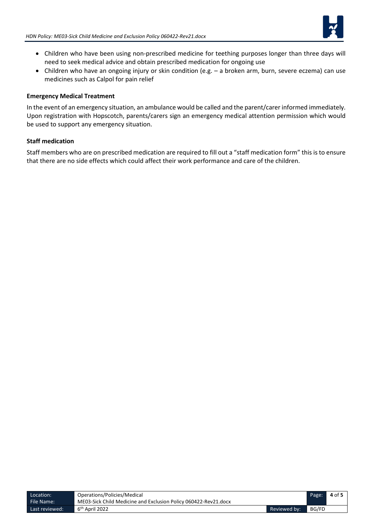

- Children who have been using non-prescribed medicine for teething purposes longer than three days will need to seek medical advice and obtain prescribed medication for ongoing use
- Children who have an ongoing injury or skin condition (e.g. a broken arm, burn, severe eczema) can use medicines such as Calpol for pain relief

#### **Emergency Medical Treatment**

In the event of an emergency situation, an ambulance would be called and the parent/carer informed immediately. Upon registration with Hopscotch, parents/carers sign an emergency medical attention permission which would be used to support any emergency situation.

## **Staff medication**

Staff members who are on prescribed medication are required to fill out a "staff medication form" this is to ensure that there are no side effects which could affect their work performance and care of the children.

| Operations/Policies/Medical<br>Location: |                                                                 | Page:        | 4 of 5 |  |
|------------------------------------------|-----------------------------------------------------------------|--------------|--------|--|
| File Name:                               | ME03-Sick Child Medicine and Exclusion Policy 060422-Rev21.docx |              |        |  |
| Last reviewed:                           | 6 <sup>th</sup> April 2022                                      | Reviewed by: | BG/FD  |  |